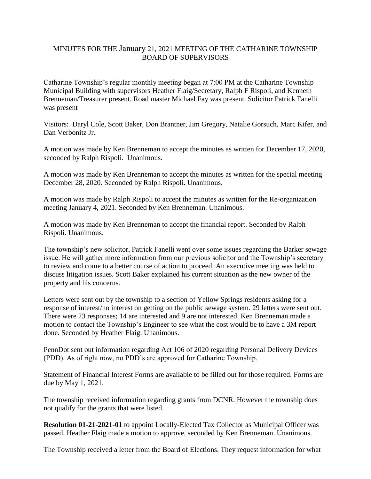## MINUTES FOR THE January 21, 2021 MEETING OF THE CATHARINE TOWNSHIP BOARD OF SUPERVISORS

Catharine Township's regular monthly meeting began at 7:00 PM at the Catharine Township Municipal Building with supervisors Heather Flaig/Secretary, Ralph F Rispoli, and Kenneth Brenneman/Treasurer present. Road master Michael Fay was present. Solicitor Patrick Fanelli was present

Visitors: Daryl Cole, Scott Baker, Don Brantner, Jim Gregory, Natalie Gorsuch, Marc Kifer, and Dan Verbonitz Jr.

A motion was made by Ken Brenneman to accept the minutes as written for December 17, 2020, seconded by Ralph Rispoli. Unanimous.

A motion was made by Ken Brenneman to accept the minutes as written for the special meeting December 28, 2020. Seconded by Ralph Rispoli. Unanimous.

A motion was made by Ralph Rispoli to accept the minutes as written for the Re-organization meeting January 4, 2021. Seconded by Ken Brenneman. Unanimous.

A motion was made by Ken Brenneman to accept the financial report. Seconded by Ralph Rispoli. Unanimous.

The township's new solicitor, Patrick Fanelli went over some issues regarding the Barker sewage issue. He will gather more information from our previous solicitor and the Township's secretary to review and come to a better course of action to proceed. An executive meeting was held to discuss litigation issues. Scott Baker explained his current situation as the new owner of the property and his concerns.

Letters were sent out by the township to a section of Yellow Springs residents asking for a response of interest/no interest on getting on the public sewage system. 29 letters were sent out. There were 23 responses; 14 are interested and 9 are not interested. Ken Brenneman made a motion to contact the Township's Engineer to see what the cost would be to have a 3M report done. Seconded by Heather Flaig. Unanimous.

PennDot sent out information regarding Act 106 of 2020 regarding Personal Delivery Devices (PDD). As of right now, no PDD's are approved for Catharine Township.

Statement of Financial Interest Forms are available to be filled out for those required. Forms are due by May 1, 2021.

The township received information regarding grants from DCNR. However the township does not qualify for the grants that were listed.

**Resolution 01-21-2021-01** to appoint Locally-Elected Tax Collector as Municipal Officer was passed. Heather Flaig made a motion to approve, seconded by Ken Brenneman. Unanimous.

The Township received a letter from the Board of Elections. They request information for what